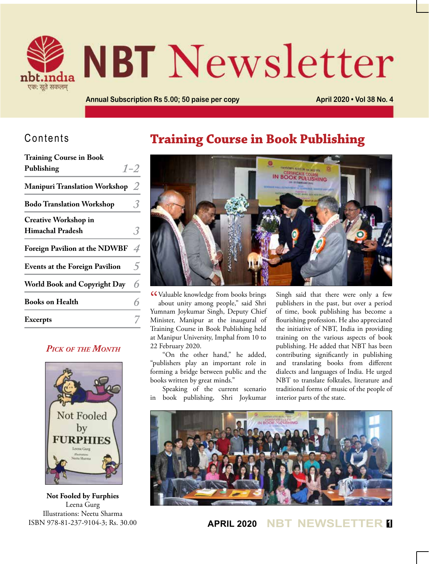

# **NBT** Newsletter

**Annual Subscription Rs 5.00; 50 paise per copy <b>April 2020 • Vol 38 No. 4 April 2020 • Vol 38 No. 4** 

## Contents

| <b>Training Course in Book</b>        |                          |
|---------------------------------------|--------------------------|
| Publishing                            | $1 - 2$                  |
| <b>Manipuri Translation Workshop</b>  | 2                        |
| <b>Bodo Translation Workshop</b>      |                          |
| <b>Creative Workshop in</b>           |                          |
| <b>Himachal Pradesh</b>               |                          |
| <b>Foreign Pavilion at the NDWBF</b>  | $\overline{\mathcal{A}}$ |
| <b>Events at the Foreign Pavilion</b> | $\overline{5}$           |
| <b>World Book and Copyright Day</b>   | 6                        |
| <b>Books on Health</b>                | 6                        |
| <b>Excerpts</b>                       |                          |
|                                       |                          |

### *Pick of the Month*



**Not Fooled by Furphies** Leena Gurg Illustrations: Neetu Sharma ISBN 978-81-237-9104-3; Rs. 30.00

## **Training Course in Book Publishing**



CCValuable knowledge from books brings<br>about unity among people," said Shri about unity among people," said Shri Yumnam Joykumar Singh, Deputy Chief Minister, Manipur at the inaugural of Training Course in Book Publishing held at Manipur University, Imphal from 10 to 22 February 2020.

"On the other hand," he added, "publishers play an important role in forming a bridge between public and the books written by great minds."

Speaking of the current scenario in book publishing, Shri Joykumar Singh said that there were only a few publishers in the past, but over a period of time, book publishing has become a flourishing profession. He also appreciated the initiative of NBT, India in providing training on the various aspects of book publishing. He added that NBT has been contributing significantly in publishing and translating books from different dialects and languages of India. He urged NBT to translate folktales, literature and traditional forms of music of the people of interior parts of the state.



**APRIL 2020 NBT NEWSLETTER <sup>1</sup>**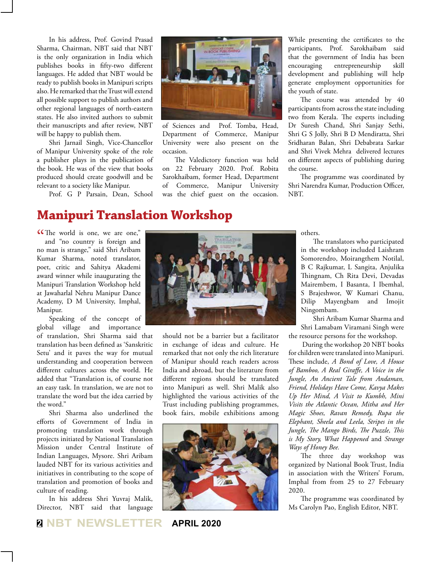In his address, Prof. Govind Prasad Sharma, Chairman, NBT said that NBT is the only organization in India which publishes books in fifty-two different languages. He added that NBT would be ready to publish books in Manipuri scripts also. He remarked that the Trust will extend all possible support to publish authors and other regional languages of north-eastern states. He also invited authors to submit their manuscripts and after review, NBT will be happy to publish them.

Shri Jarnail Singh, Vice-Chancellor of Manipur University spoke of the role a publisher plays in the publication of the book. He was of the view that books produced should create goodwill and be relevant to a society like Manipur.

Prof. G P Parsain, Dean, School



of Sciences and Prof. Tomba, Head, Department of Commerce, Manipur University were also present on the occasion.

The Valedictory function was held on 22 February 2020. Prof. Robita Sarokhaibam, former Head, Department of Commerce, Manipur University was the chief guest on the occasion.

While presenting the certificates to the participants, Prof. Sarokhaibam said that the government of India has been encouraging entrepreneurship skill development and publishing will help generate employment opportunities for the youth of state.

The course was attended by 40 participants from across the state including two from Kerala. The experts including Dr Suresh Chand, Shri Sanjay Sethi, Shri G S Jolly, Shri B D Mendiratta, Shri Sridharan Balan, Shri Debabrata Sarkar and Shri Vivek Mehra delivered lectures on different aspects of publishing during the course.

The programme was coordinated by Shri Narendra Kumar, Production Officer, NBT.

## **Manipuri Translation Workshop**

CThe world is one, we are one,"<br>and "no country is foreign and and "no country is foreign and no man is strange," said Shri Aribam Kumar Sharma, noted translator, poet, critic and Sahitya Akademi award winner while inaugurating the Manipuri Translation Workshop held at Jawaharlal Nehru Manipur Dance Academy, D M University, Imphal, Manipur.

Speaking of the concept of global village and importance

of translation, Shri Sharma said that translation has been defined as 'Sanskritic Setu' and it paves the way for mutual understanding and cooperation between different cultures across the world. He added that "Translation is, of course not an easy task. In translation, we are not to translate the word but the idea carried by the word."

Shri Sharma also underlined the efforts of Government of India in promoting translation work through projects initiated by National Translation Mission under Central Institute of Indian Languages, Mysore. Shri Aribam lauded NBT for its various activities and initiatives in contributing to the scope of translation and promotion of books and culture of reading.

In his address Shri Yuvraj Malik, Director, NBT said that language



should not be a barrier but a facilitator in exchange of ideas and culture. He remarked that not only the rich literature of Manipur should reach readers across India and abroad, but the literature from different regions should be translated into Manipuri as well. Shri Malik also highlighted the various activities of the Trust including publishing programmes, book fairs, mobile exhibitions among



others.

The translators who participated in the workshop included Laishram Somorendro, Moirangthem Notilal, B C Rajkumar, L Sangita, Anjulika Thingnam, Ch Rita Devi, Devadas Mairembem, I Basanta, I Ibemhal, S Brajeshwor, W Kumari Chanu, Dilip Mayengbam and Imojit Ningombam.

Shri Aribam Kumar Sharma and Shri Lamabam Viramani Singh were the resource persons for the workshop.

 During the workshop 20 NBT books for children were translated into Manipuri. These include, *A Bond of Love, A House of Bamboo, A Real Giraffe, A Voice in the Jungle, An Ancient Tale from Andaman, Friend, Holidays Have Come, Kavya Makes Up Her Mind, A Visit to Kumbh, Mini Visits the Atlantic Ocean, Mitha and Her Magic Shoes, Ravan Remedy, Rupa the Elephant, Sheela and Leela, Stripes in the Jungle, The Mango Birds, The Puzzle, This is My Story, What Happened* and *Strange Ways of Honey Bee.*

The three day workshop was organized by National Book Trust, India in association with the Writers' Forum, Imphal from from 25 to 27 February 2020.

The programme was coordinated by Ms Carolyn Pao, English Editor, NBT.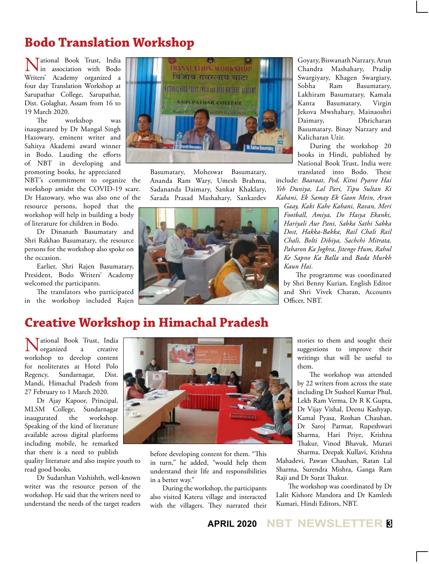## **Bodo Translation Workshop**

Tational Book Trust, India in association with Bodo Writers' Academy organized a four day Translation Workshop at Sarupathar College, Sarupathar, Dist. Golaghat, Assam from 16 to 19 March 2020.

The workshop was inaugurated by Dr Mangal Singh Hazowary, eminent writer and Sahitya Akademi award winner in Bodo. Lauding the efforts of NBT in developing and promoting books, he appreciated

NBT's commitment to organize the workshop amidst the COVID-19 scare. Dr Hazowary, who was also one of the

resource persons, hoped that the workshop will help in building a body of literature for children in Bodo.

Dr Dinanath Basumatary and Shri Rakhao Basumatary, the resource persons for the workshop also spoke on the occasion.

Earlier, Shri Rajen Basumatary, President, Bodo Writers' Academy welcomed the participants.

The translators who participated in the workshop included Rajen



Basumatary, Moheswar Basumatary, Ananda Ram Wary, Umesh Brahma, Sadananda Daimary, Sankar Khaklary, Sarada Prasad Mashahary, Sankardev



Goyary, Biswanath Narzary, Arun Chandra Mashahary, Pradip Swargiyary, Khagen Swargiary, Sobha Ram Basumatary, Lakhiram Basumatary, Kamala Kanta Basumatary, Virgin Jekova Mwshahary, Mainaoshri Daimary, Dhricharan Basumatary, Binay Narzary and Kalicharan Uzir.

During the workshop 20 books in Hindi, published by National Book Trust, India were translated into Bodo. These

include: *Baaraat, Ped, Kitni Pyaree Hai Yeh Duniya, Lal Pari, Tipu Sultan Ki Kahani, Ek Samay Ek Gaon Mein, Arun* 

*Gaay, Kaki Kahe Kahani, Ravan, Meri Football, Amiya, Do Hasya Ekanki, Hariyali Aur Pani, Sabka Sathi Sabka Dost, Hakka-Bakka, Rail Chali Rail Chali, Bolti Dibiya, Sachchi Mitrata, Paharon Ka Joghra, Jitenge Hum, Rahul Ke Sapno Ka Balla* and *Bada Murkh Kaun Hai*.

The programme was coordinated by Shri Benny Kurian, English Editor and Shri Vivek Charan, Accounts Officer, NBT.

## **Creative Workshop in Himachal Pradesh**

National Book Trust, India organized a creative workshop to develop content for neoliterates at Hotel Polo Regency, Sundarnagar, Dist. Mandi, Himachal Pradesh from 27 February to 1 March 2020.

Dr Ajay Kapoor, Principal, MLSM College, Sundarnagar<br>inaugurated the workshop. inaugurated the Speaking of the kind of literature available across digital platforms including mobile, he remarked that there is a need to publish

quality literature and also inspire youth to read good books.

Dr Sudarshan Vashishth, well-known writer was the resource person of the workshop. He said that the writers need to understand the needs of the target readers



before developing content for them. "This in turn," he added, "would help them understand their life and responsibilities in a better way."

During the workshop, the participants also visited Kateru village and interacted with the villagers. They narrated their

stories to them and sought their suggestions to improve their writings that will be useful to them.

The workshop was attended by 22 writers from across the state including Dr Susheel Kumar Phul, Lekh Ram Verma, Dr R K Gupta, Dr Vijay Vishal, Deenu Kashyap, Kamal Pyasa, Roshan Chauhan, Dr Saroj Parmar, Rupeshwari Sharma, Hari Priye, Krishna Thakur, Vinod Bhavuk, Murari Sharma, Deepak Kullavi, Krishna

Mahadevi, Pawan Chauhan, Ratan Lal Sharma, Surendra Mishra, Ganga Ram Raji and Dr Surat Thakur.

The workshop was coordinated by Dr Lalit Kishore Mandora and Dr Kamlesh Kumari, Hindi Editors, NBT.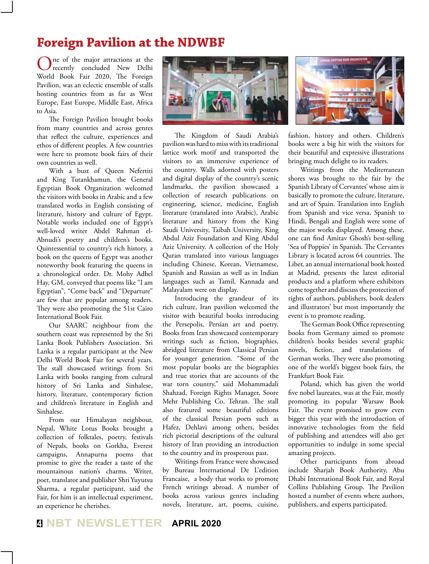## **Foreign Pavilion at the NDWBF**

One of the major attractions at the recently concluded New Delhi World Book Fair 2020, The Foreign Pavilion, was an eclectic ensemble of stalls hosting countries from as far as West Europe, East Europe, Middle East, Africa to Asia.

The Foreign Pavilion brought books from many countries and across genres that reflect the culture, experiences and ethos of different peoples. A few countries were here to promote book fairs of their own countries as well.

With a bust of Queen Nefertiti and King Tutankhamun, the General Egyptian Book Organization welcomed the visitors with books in Arabic and a few translated works in English consisting of literature, history and culture of Egypt. Notable works included one of Egypt's well-loved writer Abdel Rahman el-Abnudi's poetry and children's books. Quintessential to country's rich history, a book on the queens of Egypt was another noteworthy book featuring the queens in a chronological order. Dr. Mohy Adbel Hay, GM, conveyed that poems like "I am Egyptian", "Come back" and "Departure" are few that are popular among readers. They were also promoting the 51st Cairo International Book Fair.

Our SAARC neighbour from the southern coast was represented by the Sri Lanka Book Publishers Association. Sri Lanka is a regular participant at the New Delhi World Book Fair for several years. The stall showcased writings from Sri Lanka with books ranging from cultural history of Sri Lanka and Sinhalese, history, literature, contemporary fiction and children's literature in English and Sinhalese.

From our Himalayan neighbour, Nepal, White Lotus Books brought a collection of folktales, poetry, festivals of Nepals, books on Gorkha, Everest campaigns, Annapurna poems that promise to give the reader a taste of the mountainous nation's charms. Writer, poet, translator and publisher Shri Yuyutsu Sharma, a regular participant, said the Fair, for him is an intellectual experiment, an experience he cherishes.



The Kingdom of Saudi Arabia's pavilion was hard to miss with its traditional lattice work motif and transported the visitors to an immersive experience of the country. Walls adorned with posters and digital display of the country's scenic landmarks, the pavilion showcased a collection of research publications on engineering, science, medicine, English literature (translated into Arabic), Arabic literature and history from the King Saudi University, Taibah University, King Abdul Aziz Foundation and King Abdul Aziz University. A collection of the Holy Quran translated into various languages including Chinese, Korean, Vietnamese, Spanish and Russian as well as in Indian languages such as Tamil, Kannada and Malayalam were on display.

Introducing the grandeur of its rich culture, Iran pavilion welcomed the visitor with beautiful books introducing the Persepolis, Persian art and poetry. Books from Iran showcased contemporary writings such as fiction, biographies, abridged literature from Classical Persian for younger generation. "Some of the most popular books are the biographies and true stories that are accounts of the war torn country," said Mohammadali Shahzad, Foreign Rights Manager, Soore Mehr Publishing Co, Tehran. The stall also featured some beautiful editions of the classical Persian poets such as Hafez, Dehlavi among others, besides rich pictorial descriptions of the cultural history of Iran providing an introduction to the country and its prosperous past.

Writings from France were showcased by Bureau International De L'edition Francaise, a body that works to promote French writings abroad. A number of books across various genres including novels, literature, art, poems, cuisine,

fashion, history and others. Children's books were a big hit with the visitors for their beautiful and expressive illustrations bringing much delight to its readers.

Writings from the Mediterranean shores was brought to the fair by the Spanish Library of Cervantes' whose aim is basically to promote the culture, literature, and art of Spain. Translation into English from Spanish and vice versa, Spanish to Hindi, Bengali and English were some of the major works displayed. Among these, one can find Amitav Ghosh's best-selling 'Sea of Poppies' in Spanish. The Cervantes Library is located across 64 countries. The Liber, an annual international book hosted at Madrid, presents the latest editorial products and a platform where exhibitors come together and discuss the protection of rights of authors, publishers, book dealers and illustrators' but most importantly the event is to promote reading.

The German Book Office representing books from Germany aimed to promote children's books besides several graphic novels, fiction, and translations of German works. They were also promoting one of the world's biggest book fairs, the Frankfurt Book Fair.

Poland, which has given the world five nobel laureates, was at the Fair, mostly promoting its popular Warsaw Book Fair. The event promised to grow even bigger this year with the introduction of innovative technologies from the field of publishing and attendees will also get opportunities to indulge in some special amazing projects.

Other participants from abroad include Sharjah Book Authority, Abu Dhabi International Book Fair, and Royal Collins Publishing Group. The Pavilion hosted a number of events where authors, publishers, and experts participated.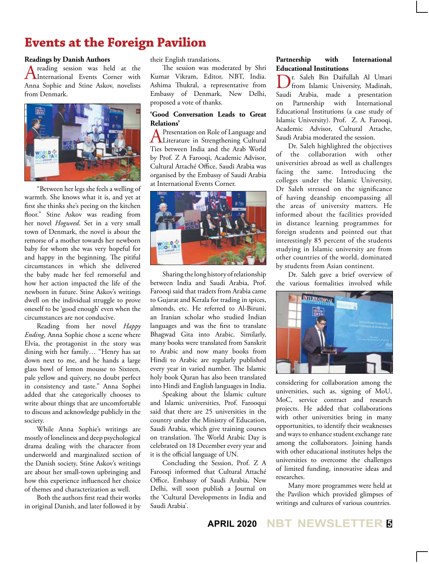## **Events at the Foreign Pavilion**

#### **Readings by Danish Authors**

A reading session was held at the International Events Corner with Anna Sophie and Stine Askov, novelists from Denmark.



"Between her legs she feels a welling of warmth. She knows what it is, and yet at first she thinks she's peeing on the kitchen floor." Stine Askov was reading from her novel *Hogweed*. Set in a very small town of Denmark, the novel is about the remorse of a mother towards her newborn baby for whom she was very hopeful for and happy in the beginning. The pitiful circumstances in which she delivered the baby made her feel remorseful and how her action impacted the life of the newborn in future. Stine Askov's writings dwell on the individual struggle to prove oneself to be 'good enough' even when the circumstances are not conducive.

Reading from her novel *Happy Ending*, Anna Sophie chose a scene where Elvia, the protagonist in the story was dining with her family… "Henry has sat down next to me, and he hands a large glass bowl of lemon mousse to Sixteen, pale yellow and quivery, no doubt perfect in consistency and taste." Anna Sophei added that she categorically chooses to write about things that are uncomfortable to discuss and acknowledge publicly in the society.

While Anna Sophie's writings are mostly of loneliness and deep psychological drama dealing with the character from underworld and marginalized section of the Danish society, Stine Askov's writings are about her small-town upbringing and how this experience influenced her choice of themes and characterization as well.

Both the authors first read their works in original Danish, and later followed it by their English translations.

The session was moderated by Shri Kumar Vikram, Editor, NBT, India. Ashima Thukral, a representative from Embassy of Denmark, New Delhi, proposed a vote of thanks.

#### **'Good Conversation Leads to Great Relations'**

A Presentation on Role of Language and<br>Literature in Strengthening Cultural Ties between India and the Arab World by Prof. Z A Farooqi, Academic Advisor, Cultural Attaché Office, Saudi Arabia was organised by the Embassy of Saudi Arabia at International Events Corner.



Sharing the long history of relationship between India and Saudi Arabia, Prof. Farooqi said that traders from Arabia came to Gujarat and Kerala for trading in spices, almonds, etc. He referred to Al-Biruni, an Iranian scholar who studied Indian languages and was the first to translate Bhagwad Gita into Arabic. Similarly, many books were translated from Sanskrit to Arabic and now many books from Hindi to Arabic are regularly published every year in varied number. The Islamic holy book Quran has also been translated into Hindi and English languages in India.

Speaking about the Islamic culture and Islamic universities, Prof. Farooqui said that there are 25 universities in the country under the Ministry of Education, Saudi Arabia, which give training courses on translation. The World Arabic Day is celebrated on 18 December every year and it is the official language of UN.

Concluding the Session, Prof. Z A Farooqi informed that Cultural Attaché Office, Embassy of Saudi Arabia, New Delhi, will soon publish a Journal on the 'Cultural Developments in India and Saudi Arabia'.

#### **Partnership with International Educational Institutions**

Dr. Saleh Bin Daifullah Al Umari from Islamic University, Madinah, Saudi Arabia, made a presentation on Partnership with International Educational Institutions (a case study of Islamic University). Prof. Z. A. Farooqi, Academic Advisor, Cultural Attache, Saudi Arabia moderated the session.

Dr. Saleh highlighted the objectives of the collaboration with other universities abroad as well as challenges facing the same. Introducing the colleges under the Islamic University, Dr Saleh stressed on the significance of having deanship encompassing all the areas of university matters. He informed about the facilities provided in distance learning programmes for foreign students and pointed out that interestingly 85 percent of the students studying in Islamic university are from other countries of the world, dominated by students from Asian continent.

Dr. Saleh gave a brief overview of the various formalities involved while



considering for collaboration among the universities, such as, signing of MoU, MoC, service contract and research projects. He added that collaborations with other universities bring in many opportunities, to identify their weaknesses and ways to enhance student exchange rate among the collaborators. Joining hands with other educational institutes helps the universities to overcome the challenges of limited funding, innovative ideas and researches.

Many more programmes were held at the Pavilion which provided glimpses of writings and cultures of various countries.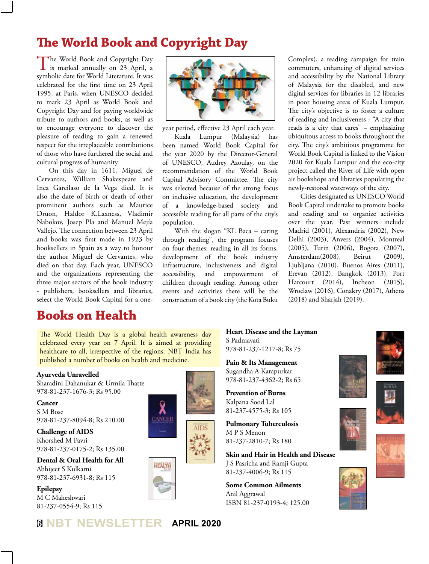## **The World Book and Copyright Day**

The World Book and Copyright Day **L** is marked annually on 23 April, a symbolic date for World Literature. It was celebrated for the first time on 23 April 1995, at Paris, when UNESCO decided to mark 23 April as World Book and Copyright Day and for paying worldwide tribute to authors and books, as well as to encourage everyone to discover the pleasure of reading to gain a renewed respect for the irreplaceable contributions of those who have furthered the social and cultural progress of humanity.

On this day in 1611, Miguel de Cervantes, William Shakespeare and Inca Garcilaso de la Vega died. It is also the date of birth or death of other prominent authors such as Maurice Druon, Haldor K.Laxness, Vladimir Nabokov, Josep Pla and Manuel Mejía Vallejo. The connection between 23 April and books was first made in 1923 by booksellers in Spain as a way to honour the author Miguel de Cervantes, who died on that day. Each year, UNESCO and the organizations representing the three major sectors of the book industry - publishers, booksellers and libraries, select the World Book Capital for a one-

## **Books on Health**



year period, effective 23 April each year. Kuala Lumpur (Malaysia) has been named World Book Capital for the year 2020 by the Director-General of UNESCO, Audrey Azoulay, on the recommendation of the World Book Capital Advisory Committee. The city was selected because of the strong focus on inclusive education, the development of a knowledge-based society and accessible reading for all parts of the city's population.

With the slogan "KL Baca – caring through reading", the program focuses on four themes: reading in all its forms, development of the book industry infrastructure, inclusiveness and digital accessibility, and empowerment of children through reading. Among other events and activities there will be the construction of a book city (the Kota Buku

Complex), a reading campaign for train commuters, enhancing of digital services and accessibility by the National Library of Malaysia for the disabled, and new digital services for libraries in 12 libraries in poor housing areas of Kuala Lumpur. The city's objective is to foster a culture of reading and inclusiveness - "A city that reads is a city that cares" – emphasizing ubiquitous access to books throughout the city. The city's ambitious programme for World Book Capital is linked to the Vision 2020 for Kuala Lumpur and the eco-city project called the River of Life with open air bookshops and libraries populating the newly-restored waterways of the city.

Cities designated as UNESCO World Book Capital undertake to promote books and reading and to organize activities over the year. Past winners include Madrid (2001), Alexandria (2002), New Delhi (2003), Anvers (2004), Montreal (2005), Turin (2006), Bogota (2007), Amsterdam(2008), Beirut (2009), Ljubljana (2010), Buenos Aires (2011), Erevan (2012), Bangkok (2013), Port Harcourt (2014), Incheon (2015), Wroclaw (2016), Conakry (2017), Athens (2018) and Sharjah (2019).

The World Health Day is a global health awareness day celebrated every year on 7 April. It is aimed at providing healthcare to all, irrespective of the regions. NBT India has published a number of books on health and medicine.

#### **Ayurveda Unravelled**

Sharadini Dahanukar & Urmila Thatte 978-81-237-1676-3; Rs 95.00

**Cancer** S M Bose 978-81-237-8094-8; Rs 210.00

**Challenge of AIDS** Khorshed M Pavri 978-81-237-0175-2; Rs 135.00

**Dental & Oral Health for All** Abhijeet S Kulkarni 978-81-237-6931-8; Rs 115

**Epilepsy** M C Maheshwari 81-237-0554-9; Rs 115







**Heart Disease and the Layman** S Padmavati 978-81-237-1217-8; Rs 75

**Pain & Its Management** Sugandha A Karapurkar 978-81-237-4362-2; Rs 65

**Prevention of Burns** Kalpana Sood Lal 81-237-4575-3; Rs 105

**Pulmonary Tuberculosis** M P S Menon 81-237-2810-7; Rs 180

**Skin and Hair in Health and Disease** J S Pasricha and Ramji Gupta 81-237-4006-9; Rs 115

**Some Common Ailments** Anil Aggrawal ISBN 81-237-0193-4; 125.00







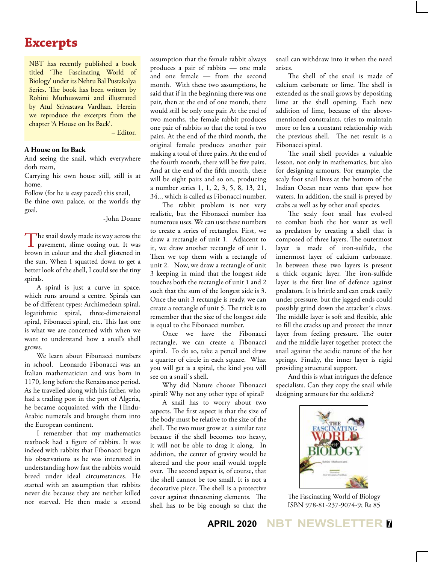## **Excerpts**

NBT has recently published a book titled 'The Fascinating World of Biology' under its Nehru Bal Pustakalya Series. The book has been written by Rohini Muthuswami and illustrated by Atul Srivastava Vardhan. Herein we reproduce the excerpts from the chapter 'A House on Its Back'.

– Editor.

#### **A House on Its Back**

And seeing the snail, which everywhere doth roam,

Carrying his own house still, still is at home,

Follow (for he is easy paced) this snail,

Be thine own palace, or the world's thy goal.

#### -John Donne

The snail slowly made its way across the pavement, slime oozing out. It was brown in colour and the shell glistened in the sun. When I squatted down to get a better look of the shell, I could see the tiny spirals.

A spiral is just a curve in space, which runs around a centre. Spirals can be of different types: Archimedean spiral, logarithmic spiral, three-dimensional spiral, Fibonacci spiral, etc. This last one is what we are concerned with when we want to understand how a snail's shell grows.

We learn about Fibonacci numbers in school. Leonardo Fibonacci was an Italian mathematician and was born in 1170, long before the Renaissance period. As he travelled along with his father, who had a trading post in the port of Algeria, he became acquainted with the Hindu-Arabic numerals and brought them into the European continent.

I remember that my mathematics textbook had a figure of rabbits. It was indeed with rabbits that Fibonacci began his observations as he was interested in understanding how fast the rabbits would breed under ideal circumstances. He started with an assumption that rabbits never die because they are neither killed nor starved. He then made a second assumption that the female rabbit always produces a pair of rabbits — one male and one female — from the second month. With these two assumptions, he said that if in the beginning there was one pair, then at the end of one month, there would still be only one pair. At the end of two months, the female rabbit produces one pair of rabbits so that the total is two pairs. At the end of the third month, the original female produces another pair making a total of three pairs. At the end of the fourth month, there will be five pairs. And at the end of the fifth month, there will be eight pairs and so on, producing a number series 1, 1, 2, 3, 5, 8, 13, 21, 34.., which is called as Fibonacci number.

The rabbit problem is not very realistic, but the Fibonacci number has numerous uses. We can use these numbers to create a series of rectangles. First, we draw a rectangle of unit 1. Adjacent to it, we draw another rectangle of unit 1. Then we top them with a rectangle of unit 2. Now, we draw a rectangle of unit 3 keeping in mind that the longest side touches both the rectangle of unit 1 and 2 such that the sum of the longest side is 3. Once the unit 3 rectangle is ready, we can create a rectangle of unit 5. The trick is to remember that the size of the longest side is equal to the Fibonacci number.

Once we have the Fibonacci rectangle, we can create a Fibonacci spiral. To do so, take a pencil and draw a quarter of circle in each square. What you will get is a spiral, the kind you will see on a snail´s shell.

Why did Nature choose Fibonacci spiral? Why not any other type of spiral?

A snail has to worry about two aspects. The first aspect is that the size of the body must be relative to the size of the shell. The two must grow at a similar rate because if the shell becomes too heavy, it will not be able to drag it along. In addition, the center of gravity would be altered and the poor snail would topple over. The second aspect is, of course, that the shell cannot be too small. It is not a decorative piece. The shell is a protective cover against threatening elements. The shell has to be big enough so that the

snail can withdraw into it when the need arises.

The shell of the snail is made of calcium carbonate or lime. The shell is extended as the snail grows by depositing lime at the shell opening. Each new addition of lime, because of the abovementioned constraints, tries to maintain more or less a constant relationship with the previous shell. The net result is a Fibonacci spiral.

The snail shell provides a valuable lesson, not only in mathematics, but also for designing armours. For example, the scaly foot snail lives at the bottom of the Indian Ocean near vents that spew hot waters. In addition, the snail is preyed by crabs as well as by other snail species.

The scaly foot snail has evolved to combat both the hot water as well as predators by creating a shell that is composed of three layers. The outermost layer is made of iron-sulfide, the innermost layer of calcium carbonate. In between these two layers is present a thick organic layer. The iron-sulfide layer is the first line of defence against predators. It is brittle and can crack easily under pressure, but the jagged ends could possibly grind down the attacker´s claws. The middle layer is soft and flexible, able to fill the cracks up and protect the inner layer from feeling pressure. The outer and the middle layer together protect the snail against the acidic nature of the hot springs. Finally, the inner layer is rigid providing structural support.

And this is what intrigues the defence specialists. Can they copy the snail while designing armours for the soldiers?



The Fascinating World of Biology ISBN 978-81-237-9074-9; Rs 85